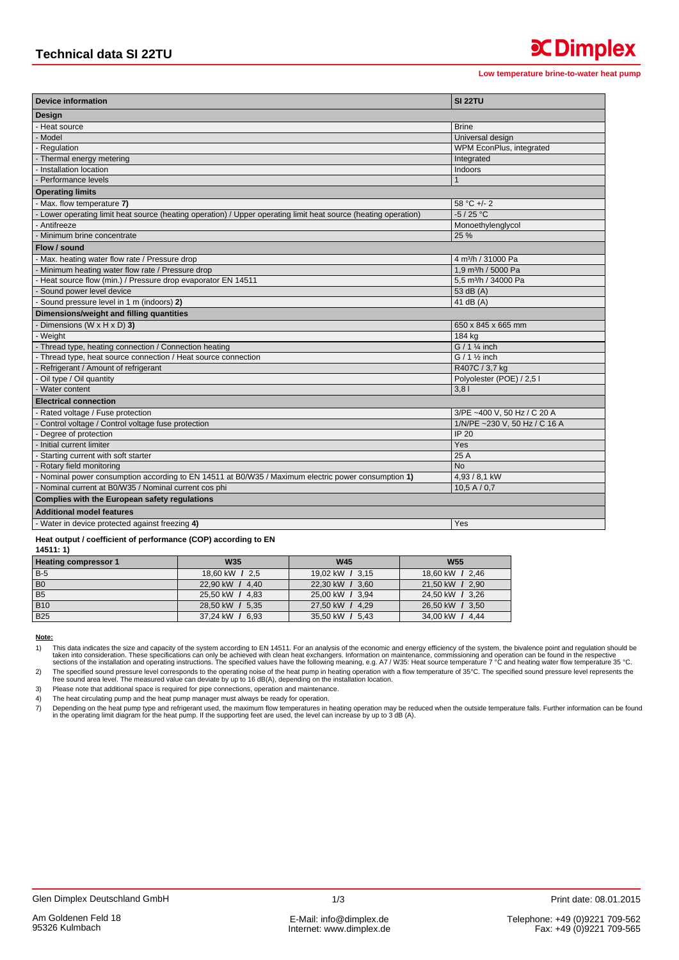**x** Dimplex

| <b>Device information</b>                                                                                     | <b>SI 22TU</b>                   |  |  |  |
|---------------------------------------------------------------------------------------------------------------|----------------------------------|--|--|--|
| Design                                                                                                        |                                  |  |  |  |
| Heat source                                                                                                   | <b>Brine</b>                     |  |  |  |
| Model                                                                                                         | Universal design                 |  |  |  |
| - Regulation                                                                                                  | WPM EconPlus, integrated         |  |  |  |
| Thermal energy metering                                                                                       | Integrated                       |  |  |  |
| - Installation location                                                                                       | Indoors                          |  |  |  |
| Performance levels                                                                                            | 1                                |  |  |  |
| <b>Operating limits</b>                                                                                       |                                  |  |  |  |
| Max. flow temperature 7)                                                                                      | $58 °C +/- 2$                    |  |  |  |
| Lower operating limit heat source (heating operation) / Upper operating limit heat source (heating operation) | $-5/25 °C$                       |  |  |  |
| Antifreeze                                                                                                    | Monoethylenglycol                |  |  |  |
| - Minimum brine concentrate                                                                                   | 25 %                             |  |  |  |
| Flow / sound                                                                                                  |                                  |  |  |  |
| - Max. heating water flow rate / Pressure drop                                                                | 4 m <sup>3</sup> /h / 31000 Pa   |  |  |  |
| Minimum heating water flow rate / Pressure drop                                                               | 1.9 m <sup>3</sup> /h / 5000 Pa  |  |  |  |
| Heat source flow (min.) / Pressure drop evaporator EN 14511                                                   | 5.5 m <sup>3</sup> /h / 34000 Pa |  |  |  |
| Sound power level device                                                                                      | 53 dB (A)                        |  |  |  |
| Sound pressure level in 1 m (indoors) 2)                                                                      | 41 dB $(A)$                      |  |  |  |
| Dimensions/weight and filling quantities                                                                      |                                  |  |  |  |
| Dimensions (W $\times$ H $\times$ D) 3)                                                                       | 650 x 845 x 665 mm               |  |  |  |
| Weight                                                                                                        | 184 kg                           |  |  |  |
| Thread type, heating connection / Connection heating                                                          | $G / 1$ % inch                   |  |  |  |
| Thread type, heat source connection / Heat source connection                                                  | $G / 1$ % inch                   |  |  |  |
| Refrigerant / Amount of refrigerant                                                                           | R407C / 3,7 kg                   |  |  |  |
| Oil type / Oil quantity                                                                                       | Polyolester (POE) / 2,5 l        |  |  |  |
| Water content                                                                                                 | 3.81                             |  |  |  |
| <b>Electrical connection</b>                                                                                  |                                  |  |  |  |
| Rated voltage / Fuse protection                                                                               | 3/PE ~400 V, 50 Hz / C 20 A      |  |  |  |
| Control voltage / Control voltage fuse protection                                                             | 1/N/PE ~230 V, 50 Hz / C 16 A    |  |  |  |
| Degree of protection                                                                                          | IP 20                            |  |  |  |
| Initial current limiter                                                                                       | Yes                              |  |  |  |
| Starting current with soft starter                                                                            | 25 A                             |  |  |  |
| - Rotary field monitoring                                                                                     | <b>No</b>                        |  |  |  |
| Nominal power consumption according to EN 14511 at B0/W35 / Maximum electric power consumption 1)             | 4,93 / 8,1 kW                    |  |  |  |
| Nominal current at B0/W35 / Nominal current cos phi                                                           | 10.5 A / 0.7                     |  |  |  |
| Complies with the European safety regulations                                                                 |                                  |  |  |  |
| <b>Additional model features</b>                                                                              |                                  |  |  |  |
| Water in device protected against freezing 4)                                                                 | Yes                              |  |  |  |

## Heat output / coefficient of performance (COP) according to EN  $44544.4$

| .                           |                 |                 |                 |
|-----------------------------|-----------------|-----------------|-----------------|
| <b>Heating compressor 1</b> | <b>W35</b>      | <b>W45</b>      | <b>W55</b>      |
| $B-5$                       | 18,60 kW / 2,5  | 19,02 kW / 3,15 | 18,60 kW / 2,46 |
| B <sub>0</sub>              | 22.90 kW / 4.40 | 22.30 kW / 3.60 | 21.50 kW / 2.90 |
| B <sub>5</sub>              | 25.50 kW / 4.83 | 25,00 kW / 3,94 | 24,50 kW / 3,26 |
| <b>B10</b>                  | 28.50 kW / 5.35 | 27.50 kW / 4.29 | 26,50 kW / 3,50 |
| <b>B25</b>                  | 37,24 kW / 6,93 | 35,50 kW / 5,43 | 34,00 kW / 4,44 |

Note:

This data indicates the size and capacity of the system according to EN 14511. For an analysis of the economic and energy efficiency of the system, the bivalence point and regulation should be taken into consideration. The  $1)$ 

The specified sound pressure level corresponds to the operating noise of the heat pump in heating operation with a flow temperature of 35°C. The specified sound pressure level represents the specified sound pressure level.  $2)$ 

Please note that additional space is required for pipe connections, operation and maintenance.  $3)$ 

The heat circulating pump and the heat pump manager must always be ready for operation.  $4)$ 

Depending on the heat pump and the fire and pump manager must always be ready to the paint of pepending on the heat pump type and refrigerant used, the maximum flow temperatures in heating operation may be reduced when the  $\overline{7}$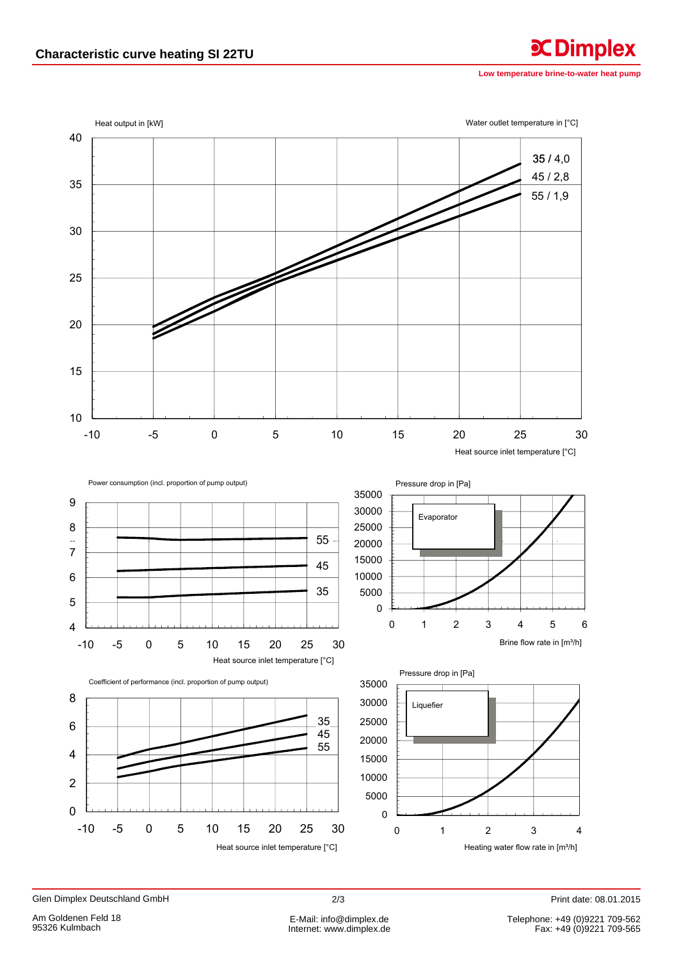Low temperature brine-to-water heat pump

**CDimplex** 



Print date: 08.01.2015